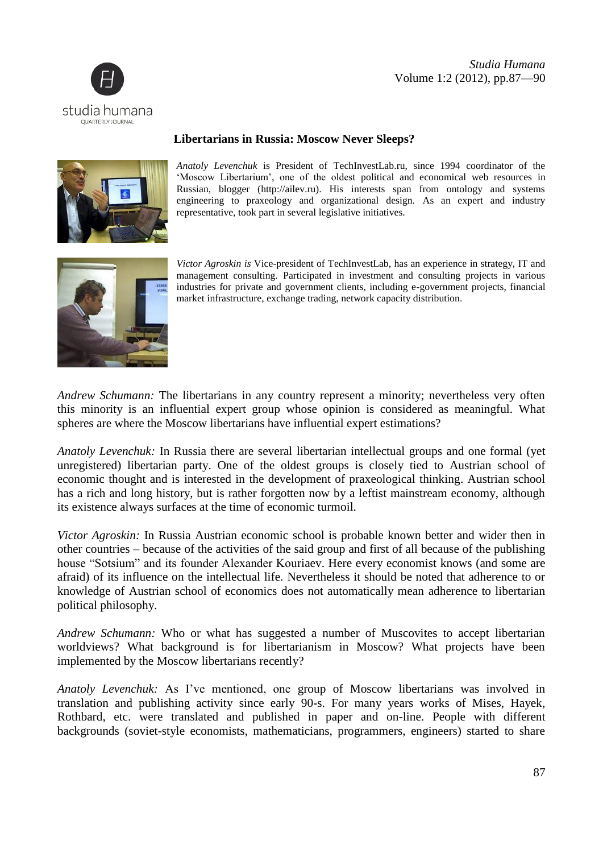



## **Libertarians in Russia: Moscow Never Sleeps?**



*Anatoly Levenchuk* is President of TechInvestLab.ru, since 1994 coordinator of the 'Moscow Libertarium', one of the oldest political and economical web resources in Russian, blogger (http://ailev.ru). His interests span from ontology and systems engineering to praxeology and organizational design. As an expert and industry representative, took part in several legislative initiatives.



*Victor Agroskin is* Vice-president of TechInvestLab, has an experience in strategy, IT and management consulting. Participated in investment and consulting projects in various industries for private and government clients, including e-government projects, financial market infrastructure, exchange trading, network capacity distribution.

*Andrew Schumann:* The libertarians in any country represent a minority; nevertheless very often this minority is an influential expert group whose opinion is considered as meaningful. What spheres are where the Moscow libertarians have influential expert estimations?

*Anatoly Levenchuk:* In Russia there are several libertarian intellectual groups and one formal (yet unregistered) libertarian party. One of the oldest groups is closely tied to Austrian school of economic thought and is interested in the development of praxeological thinking. Austrian school has a rich and long history, but is rather forgotten now by a leftist mainstream economy, although its existence always surfaces at the time of economic turmoil.

*Victor Agroskin:* In Russia Austrian economic school is probable known better and wider then in other countries – because of the activities of the said group and first of all because of the publishing house "Sotsium" and its founder Alexander Kouriaev. Here every economist knows (and some are afraid) of its influence on the intellectual life. Nevertheless it should be noted that adherence to or knowledge of Austrian school of economics does not automatically mean adherence to libertarian political philosophy.

*Andrew Schumann:* Who or what has suggested a number of Muscovites to accept libertarian worldviews? What background is for libertarianism in Moscow? What projects have been implemented by the Moscow libertarians recently?

*Anatoly Levenchuk:* As I've mentioned, one group of Moscow libertarians was involved in translation and publishing activity since early 90-s. For many years works of Mises, Hayek, Rothbard, etc. were translated and published in paper and on-line. People with different backgrounds (soviet-style economists, mathematicians, programmers, engineers) started to share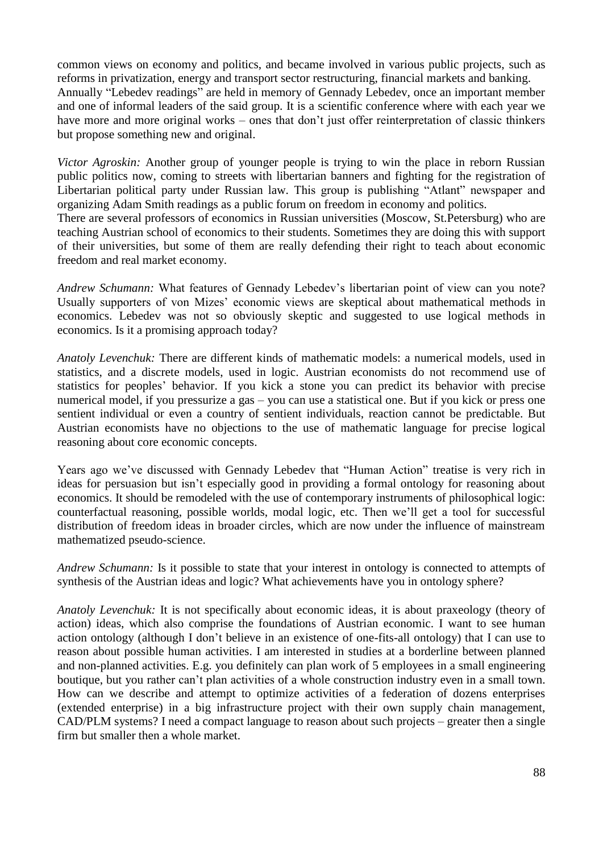common views on economy and politics, and became involved in various public projects, such as reforms in privatization, energy and transport sector restructuring, financial markets and banking. Annually "Lebedev readings" are held in memory of Gennady Lebedev, once an important member and one of informal leaders of the said group. It is a scientific conference where with each year we have more and more original works – ones that don't just offer reinterpretation of classic thinkers but propose something new and original.

*Victor Agroskin:* Another group of younger people is trying to win the place in reborn Russian public politics now, coming to streets with libertarian banners and fighting for the registration of Libertarian political party under Russian law. This group is publishing "Atlant" newspaper and organizing Adam Smith readings as a public forum on freedom in economy and politics. There are several professors of economics in Russian universities (Moscow, St.Petersburg) who are teaching Austrian school of economics to their students. Sometimes they are doing this with support of their universities, but some of them are really defending their right to teach about economic freedom and real market economy.

*Andrew Schumann:* What features of Gennady Lebedev's libertarian point of view can you note? Usually supporters of von Mizes' economic views are skeptical about mathematical methods in economics. Lebedev was not so obviously skeptic and suggested to use logical methods in economics. Is it a promising approach today?

*Anatoly Levenchuk:* There are different kinds of mathematic models: a numerical models, used in statistics, and a discrete models, used in logic. Austrian economists do not recommend use of statistics for peoples' behavior. If you kick a stone you can predict its behavior with precise numerical model, if you pressurize a gas – you can use a statistical one. But if you kick or press one sentient individual or even a country of sentient individuals, reaction cannot be predictable. But Austrian economists have no objections to the use of mathematic language for precise logical reasoning about core economic concepts.

Years ago we've discussed with Gennady Lebedev that "Human Action" treatise is very rich in ideas for persuasion but isn't especially good in providing a formal ontology for reasoning about economics. It should be remodeled with the use of contemporary instruments of philosophical logic: counterfactual reasoning, possible worlds, modal logic, etc. Then we'll get a tool for successful distribution of freedom ideas in broader circles, which are now under the influence of mainstream mathematized pseudo-science.

*Andrew Schumann:* Is it possible to state that your interest in ontology is connected to attempts of synthesis of the Austrian ideas and logic? What achievements have you in ontology sphere?

*Anatoly Levenchuk:* It is not specifically about economic ideas, it is about praxeology (theory of action) ideas, which also comprise the foundations of Austrian economic. I want to see human action ontology (although I don't believe in an existence of one-fits-all ontology) that I can use to reason about possible human activities. I am interested in studies at a borderline between planned and non-planned activities. E.g. you definitely can plan work of 5 employees in a small engineering boutique, but you rather can't plan activities of a whole construction industry even in a small town. How can we describe and attempt to optimize activities of a federation of dozens enterprises (extended enterprise) in a big infrastructure project with their own supply chain management, CAD/PLM systems? I need a compact language to reason about such projects – greater then a single firm but smaller then a whole market.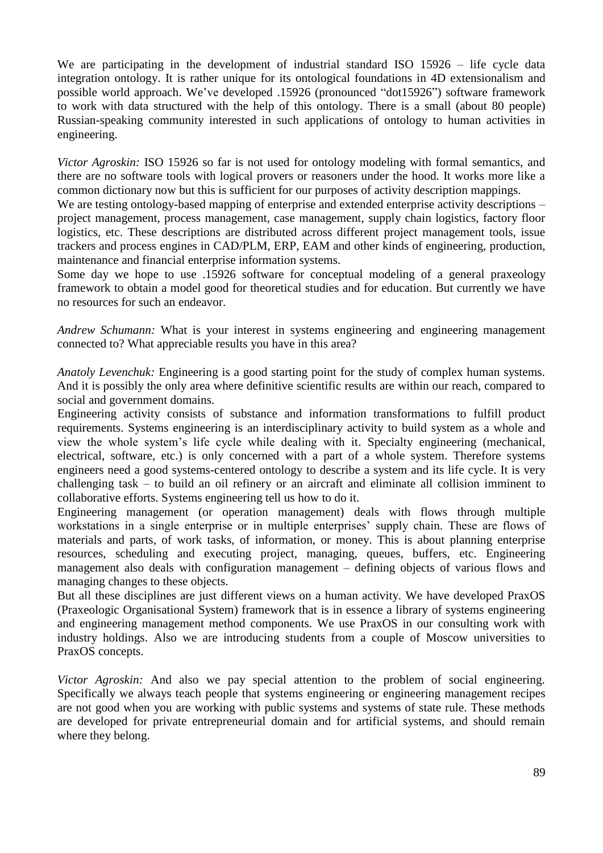We are participating in the development of industrial standard ISO 15926 – life cycle data integration ontology. It is rather unique for its ontological foundations in 4D extensionalism and possible world approach. We've developed .15926 (pronounced "dot15926") software framework to work with data structured with the help of this ontology. There is a small (about 80 people) Russian-speaking community interested in such applications of ontology to human activities in engineering.

*Victor Agroskin:* ISO 15926 so far is not used for ontology modeling with formal semantics, and there are no software tools with logical provers or reasoners under the hood. It works more like a common dictionary now but this is sufficient for our purposes of activity description mappings.

We are testing ontology-based mapping of enterprise and extended enterprise activity descriptions – project management, process management, case management, supply chain logistics, factory floor logistics, etc. These descriptions are distributed across different project management tools, issue trackers and process engines in CAD/PLM, ERP, EAM and other kinds of engineering, production, maintenance and financial enterprise information systems.

Some day we hope to use .15926 software for conceptual modeling of a general praxeology framework to obtain a model good for theoretical studies and for education. But currently we have no resources for such an endeavor.

*Andrew Schumann:* What is your interest in systems engineering and engineering management connected to? What appreciable results you have in this area?

*Anatoly Levenchuk:* Engineering is a good starting point for the study of complex human systems. And it is possibly the only area where definitive scientific results are within our reach, compared to social and government domains.

Engineering activity consists of substance and information transformations to fulfill product requirements. Systems engineering is an interdisciplinary activity to build system as a whole and view the whole system's life cycle while dealing with it. Specialty engineering (mechanical, electrical, software, etc.) is only concerned with a part of a whole system. Therefore systems engineers need a good systems-centered ontology to describe a system and its life cycle. It is very challenging task – to build an oil refinery or an aircraft and eliminate all collision imminent to collaborative efforts. Systems engineering tell us how to do it.

Engineering management (or operation management) deals with flows through multiple workstations in a single enterprise or in multiple enterprises' supply chain. These are flows of materials and parts, of work tasks, of information, or money. This is about planning enterprise resources, scheduling and executing project, managing, queues, buffers, etc. Engineering management also deals with configuration management – defining objects of various flows and managing changes to these objects.

But all these disciplines are just different views on a human activity. We have developed PraxOS (Praxeologic Organisational System) framework that is in essence a library of systems engineering and engineering management method components. We use PraxOS in our consulting work with industry holdings. Also we are introducing students from a couple of Moscow universities to PraxOS concepts.

*Victor Agroskin:* And also we pay special attention to the problem of social engineering. Specifically we always teach people that systems engineering or engineering management recipes are not good when you are working with public systems and systems of state rule. These methods are developed for private entrepreneurial domain and for artificial systems, and should remain where they belong.